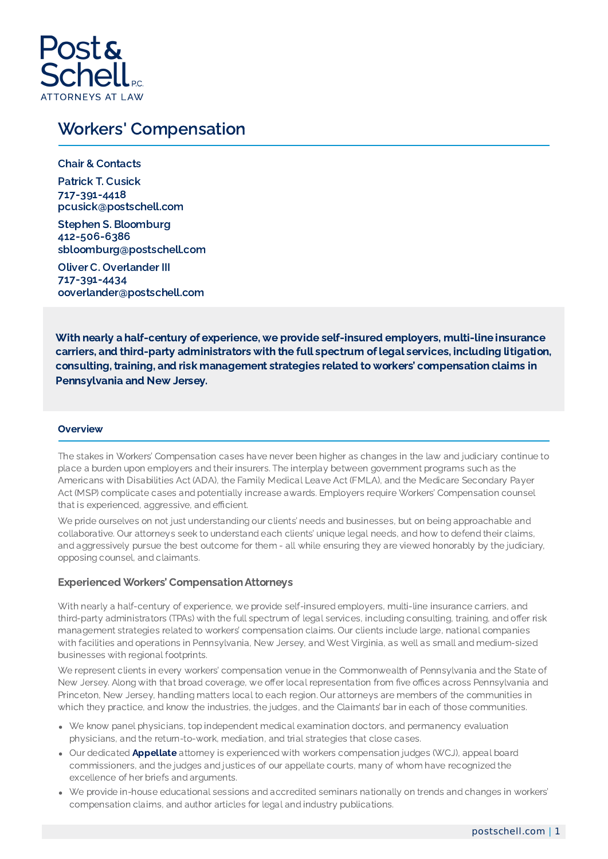

## Workers' Compensation

Chair & Contacts Patrick T. Cusick 717-391-4418 pcusick@postschell.com

Stephen S. Bloomburg 412-506-6386 sbloomburg@postschell.com

Oliver C. Overlander III 717-391-4434 ooverlander@postschell.com

With nearly a half-century of experience, we provide self-insured employers, multi-line insurance carriers, and third-party administrators with the full spectrum of legal services, including litigation, consulting, training, and risk management strategies related to workers' compensation claims in Pennsylvania and New Jersey.

## **Overview**

The stakes in Workers' Compensation cases have never been higher as changes in the law and judiciary continue to place a burden upon employers and their insurers. The interplay between government programs such as the Americans with Disabilities Act (ADA), the Family Medical Leave Act (FMLA), and the Medicare Secondary Payer Act (MSP) complicate cases and potentially increase awards. Employers require Workers' Compensation counsel that is experienced, aggressive, and efficient.

We pride ourselves on not just understanding our clients' needs and businesses, but on being approachable and collaborative. Our attorneys seek to understand each clients' unique legal needs, and how to defend their claims, and aggressively pursue the best outcome for them - all while ensuring they are viewed honorably by the judiciary, opposing counsel, and claimants.

## Experienced Workers' Compensation Attorneys

With nearly a half-century of experience, we provide self-insured employers, multi-line insurance carriers, and third-party administrators (TPAs) with the full spectrum of legal services, including consulting, training, and offer risk management strategies related to workers' compensation claims. Our clients include large, national companies with facilities and operations in Pennsylvania, New Jersey, and West Virginia, as well as small and medium-sized businesses with regional footprints.

We represent clients in every workers' compensation venue in the Commonwealth of Pennsylvania and the State of New Jersey. Along with that broad coverage, we offer local representation from five offices across Pennsylvania and Princeton, New Jersey, handling matters local to each region. Our attorneys are members of the communities in which they practice, and know the industries, the judges, and the Claimants' bar in each of those communities.

- We know panel physicians, top independent medical examination doctors, and permanency evaluation physicians, and the return-to-work, mediation, and trial strategies that close cases.
- Our dedicated **[Appellate](https://www.postschell.com/practices/appellate)** attorney is experienced with workers compensation judges (WCJ), appeal board commissioners, and the judges and justices of our appellate courts, many of whom have recognized the excellence of her briefs and arguments.
- We provide in-house educational sessions and accredited seminars nationally on trends and changes in workers' compensation claims, and author articles for legal and industry publications.